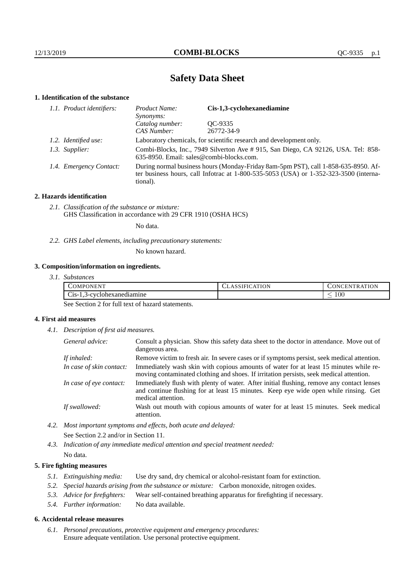# **Safety Data Sheet**

## **1. Identification of the substance**

| 1.1. Product identifiers: | Cis-1,3-cyclohexanediamine<br>Product Name:<br>Synonyms:                                                                                                                                    |            |
|---------------------------|---------------------------------------------------------------------------------------------------------------------------------------------------------------------------------------------|------------|
|                           | Catalog number:                                                                                                                                                                             | OC-9335    |
|                           | CAS Number:                                                                                                                                                                                 | 26772-34-9 |
| 1.2. Identified use:      | Laboratory chemicals, for scientific research and development only.                                                                                                                         |            |
| 1.3. Supplier:            | Combi-Blocks, Inc., 7949 Silverton Ave # 915, San Diego, CA 92126, USA. Tel: 858-<br>635-8950. Email: sales@combi-blocks.com.                                                               |            |
| 1.4. Emergency Contact:   | During normal business hours (Monday-Friday 8am-5pm PST), call 1-858-635-8950. Af-<br>ter business hours, call Infotrac at $1-800-535-5053$ (USA) or $1-352-323-3500$ (interna-<br>tional). |            |

## **2. Hazards identification**

*2.1. Classification of the substance or mixture:* GHS Classification in accordance with 29 CFR 1910 (OSHA HCS)

No data.

*2.2. GHS Label elements, including precautionary statements:*

No known hazard.

## **3. Composition/information on ingredients.**

*3.1. Substances*

| 177377<br>COMPONENT                           | CLASSIFICATION | <b>TRATION</b><br>$\sim$ ONCENT |
|-----------------------------------------------|----------------|---------------------------------|
| $\sim$<br>-cyclohexanediamine<br>$C_{1S-1,3}$ |                | 100<br>_                        |

See Section 2 for full text of hazard statements.

## **4. First aid measures**

*4.1. Description of first aid measures.*

| General advice:          | Consult a physician. Show this safety data sheet to the doctor in attendance. Move out of<br>dangerous area.                                                                                            |
|--------------------------|---------------------------------------------------------------------------------------------------------------------------------------------------------------------------------------------------------|
| If inhaled:              | Remove victim to fresh air. In severe cases or if symptoms persist, seek medical attention.                                                                                                             |
| In case of skin contact: | Immediately wash skin with copious amounts of water for at least 15 minutes while re-<br>moving contaminated clothing and shoes. If irritation persists, seek medical attention.                        |
| In case of eye contact:  | Immediately flush with plenty of water. After initial flushing, remove any contact lenses<br>and continue flushing for at least 15 minutes. Keep eye wide open while rinsing. Get<br>medical attention. |
| If swallowed:            | Wash out mouth with copious amounts of water for at least 15 minutes. Seek medical<br>attention.                                                                                                        |

- *4.2. Most important symptoms and effects, both acute and delayed:* See Section 2.2 and/or in Section 11.
- *4.3. Indication of any immediate medical attention and special treatment needed:* No data.

## **5. Fire fighting measures**

- *5.1. Extinguishing media:* Use dry sand, dry chemical or alcohol-resistant foam for extinction.
- *5.2. Special hazards arising from the substance or mixture:* Carbon monoxide, nitrogen oxides.
- *5.3. Advice for firefighters:* Wear self-contained breathing apparatus for firefighting if necessary.
- *5.4. Further information:* No data available.

### **6. Accidental release measures**

*6.1. Personal precautions, protective equipment and emergency procedures:* Ensure adequate ventilation. Use personal protective equipment.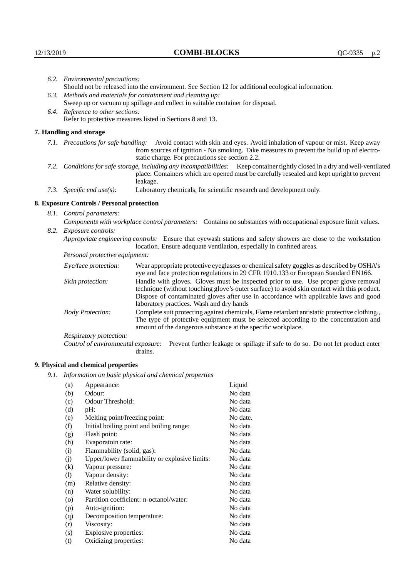|                                                             | 6.2. Environmental precautions:<br>Should not be released into the environment. See Section 12 for additional ecological information. |                                                                                                                                                                                                                                                                                                                        |  |  |
|-------------------------------------------------------------|---------------------------------------------------------------------------------------------------------------------------------------|------------------------------------------------------------------------------------------------------------------------------------------------------------------------------------------------------------------------------------------------------------------------------------------------------------------------|--|--|
|                                                             |                                                                                                                                       |                                                                                                                                                                                                                                                                                                                        |  |  |
| 6.3. Methods and materials for containment and cleaning up: |                                                                                                                                       |                                                                                                                                                                                                                                                                                                                        |  |  |
|                                                             | Sweep up or vacuum up spillage and collect in suitable container for disposal.                                                        |                                                                                                                                                                                                                                                                                                                        |  |  |
|                                                             | 6.4. Reference to other sections:                                                                                                     |                                                                                                                                                                                                                                                                                                                        |  |  |
|                                                             |                                                                                                                                       | Refer to protective measures listed in Sections 8 and 13.                                                                                                                                                                                                                                                              |  |  |
|                                                             | 7. Handling and storage                                                                                                               |                                                                                                                                                                                                                                                                                                                        |  |  |
|                                                             |                                                                                                                                       | 7.1. Precautions for safe handling: Avoid contact with skin and eyes. Avoid inhalation of vapour or mist. Keep away<br>from sources of ignition - No smoking. Take measures to prevent the build up of electro-<br>static charge. For precautions see section 2.2.                                                     |  |  |
|                                                             |                                                                                                                                       | 7.2. Conditions for safe storage, including any incompatibilities: Keep container tightly closed in a dry and well-ventilated<br>place. Containers which are opened must be carefully resealed and kept upright to prevent<br>leakage.                                                                                 |  |  |
|                                                             | 7.3. Specific end use(s):                                                                                                             | Laboratory chemicals, for scientific research and development only.                                                                                                                                                                                                                                                    |  |  |
|                                                             | 8. Exposure Controls / Personal protection                                                                                            |                                                                                                                                                                                                                                                                                                                        |  |  |
|                                                             | 8.1. Control parameters:                                                                                                              |                                                                                                                                                                                                                                                                                                                        |  |  |
|                                                             | Components with workplace control parameters: Contains no substances with occupational exposure limit values.                         |                                                                                                                                                                                                                                                                                                                        |  |  |
|                                                             | 8.2. Exposure controls:                                                                                                               |                                                                                                                                                                                                                                                                                                                        |  |  |
|                                                             | Appropriate engineering controls: Ensure that eyewash stations and safety showers are close to the workstation                        |                                                                                                                                                                                                                                                                                                                        |  |  |
|                                                             |                                                                                                                                       | location. Ensure adequate ventilation, especially in confined areas.                                                                                                                                                                                                                                                   |  |  |
|                                                             | Personal protective equipment:                                                                                                        |                                                                                                                                                                                                                                                                                                                        |  |  |
|                                                             | Eye/face protection:                                                                                                                  | Wear appropriate protective eyeglasses or chemical safety goggles as described by OSHA's<br>eye and face protection regulations in 29 CFR 1910.133 or European Standard EN166.                                                                                                                                         |  |  |
|                                                             | Skin protection:                                                                                                                      | Handle with gloves. Gloves must be inspected prior to use. Use proper glove removal<br>technique (without touching glove's outer surface) to avoid skin contact with this product.<br>Dispose of contaminated gloves after use in accordance with applicable laws and good<br>laboratory practices. Wash and dry hands |  |  |
|                                                             | <b>Body Protection:</b>                                                                                                               | Complete suit protecting against chemicals, Flame retardant antistatic protective clothing.,<br>The type of protective equipment must be selected according to the concentration and<br>amount of the dangerous substance at the specific workplace.                                                                   |  |  |
|                                                             | $R$ espiratory protection:                                                                                                            |                                                                                                                                                                                                                                                                                                                        |  |  |

Respiratory protection:

Control of environmental exposure: Prevent further leakage or spillage if safe to do so. Do not let product enter drains.

# **9. Physical and chemical properties**

*9.1. Information on basic physical and chemical properties*

| (a)                | Appearance:                                   | Liquid   |
|--------------------|-----------------------------------------------|----------|
| (b)                | Odour:                                        | No data  |
| (c)                | Odour Threshold:                              | No data  |
| (d)                | pH:                                           | No data  |
| (e)                | Melting point/freezing point:                 | No date. |
| (f)                | Initial boiling point and boiling range:      | No data  |
| (g)                | Flash point:                                  | No data  |
| (h)                | Evaporatoin rate:                             | No data  |
| (i)                | Flammability (solid, gas):                    | No data  |
| (i)                | Upper/lower flammability or explosive limits: | No data  |
| $\rm(k)$           | Vapour pressure:                              | No data  |
| (1)                | Vapour density:                               | No data  |
| (m)                | Relative density:                             | No data  |
| (n)                | Water solubility:                             | No data  |
| $\left( 0 \right)$ | Partition coefficient: n-octanol/water:       | No data  |
| (p)                | Auto-ignition:                                | No data  |
| (q)                | Decomposition temperature:                    | No data  |
| (r)                | Viscosity:                                    | No data  |
| (s)                | Explosive properties:                         | No data  |
| (t)                | Oxidizing properties:                         | No data  |